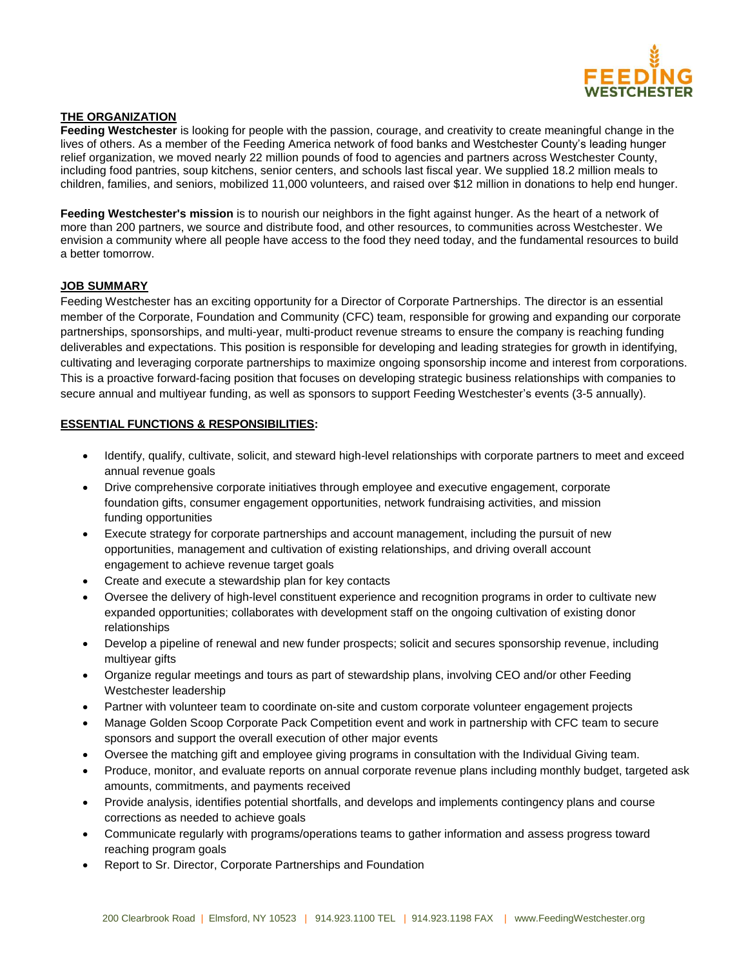

# **THE ORGANIZATION**

**Feeding Westchester** is looking for people with the passion, courage, and creativity to create meaningful change in the lives of others. As a member of the Feeding America network of food banks and Westchester County's leading hunger relief organization, we moved nearly 22 million pounds of food to agencies and partners across Westchester County, including food pantries, soup kitchens, senior centers, and schools last fiscal year. We supplied 18.2 million meals to children, families, and seniors, mobilized 11,000 volunteers, and raised over \$12 million in donations to help end hunger.

**Feeding Westchester's mission** is to nourish our neighbors in the fight against hunger. As the heart of a network of more than 200 partners, we source and distribute food, and other resources, to communities across Westchester. We envision a community where all people have access to the food they need today, and the fundamental resources to build a better tomorrow.

#### **JOB SUMMARY**

Feeding Westchester has an exciting opportunity for a Director of Corporate Partnerships. The director is an essential member of the Corporate, Foundation and Community (CFC) team, responsible for growing and expanding our corporate partnerships, sponsorships, and multi-year, multi-product revenue streams to ensure the company is reaching funding deliverables and expectations. This position is responsible for developing and leading strategies for growth in identifying, cultivating and leveraging corporate partnerships to maximize ongoing sponsorship income and interest from corporations. This is a proactive forward-facing position that focuses on developing strategic business relationships with companies to secure annual and multiyear funding, as well as sponsors to support Feeding Westchester's events (3-5 annually).

#### **ESSENTIAL FUNCTIONS & RESPONSIBILITIES:**

- Identify, qualify, cultivate, solicit, and steward high-level relationships with corporate partners to meet and exceed annual revenue goals
- Drive comprehensive corporate initiatives through employee and executive engagement, corporate foundation gifts, consumer engagement opportunities, network fundraising activities, and mission funding opportunities
- Execute strategy for corporate partnerships and account management, including the pursuit of new opportunities, management and cultivation of existing relationships, and driving overall account engagement to achieve revenue target goals
- Create and execute a stewardship plan for key contacts
- Oversee the delivery of high-level constituent experience and recognition programs in order to cultivate new expanded opportunities; collaborates with development staff on the ongoing cultivation of existing donor relationships
- Develop a pipeline of renewal and new funder prospects; solicit and secures sponsorship revenue, including multiyear gifts
- Organize regular meetings and tours as part of stewardship plans, involving CEO and/or other Feeding Westchester leadership
- Partner with volunteer team to coordinate on-site and custom corporate volunteer engagement projects
- Manage Golden Scoop Corporate Pack Competition event and work in partnership with CFC team to secure sponsors and support the overall execution of other major events
- Oversee the matching gift and employee giving programs in consultation with the Individual Giving team.
- Produce, monitor, and evaluate reports on annual corporate revenue plans including monthly budget, targeted ask amounts, commitments, and payments received
- Provide analysis, identifies potential shortfalls, and develops and implements contingency plans and course corrections as needed to achieve goals
- Communicate regularly with programs/operations teams to gather information and assess progress toward reaching program goals
- Report to Sr. Director, Corporate Partnerships and Foundation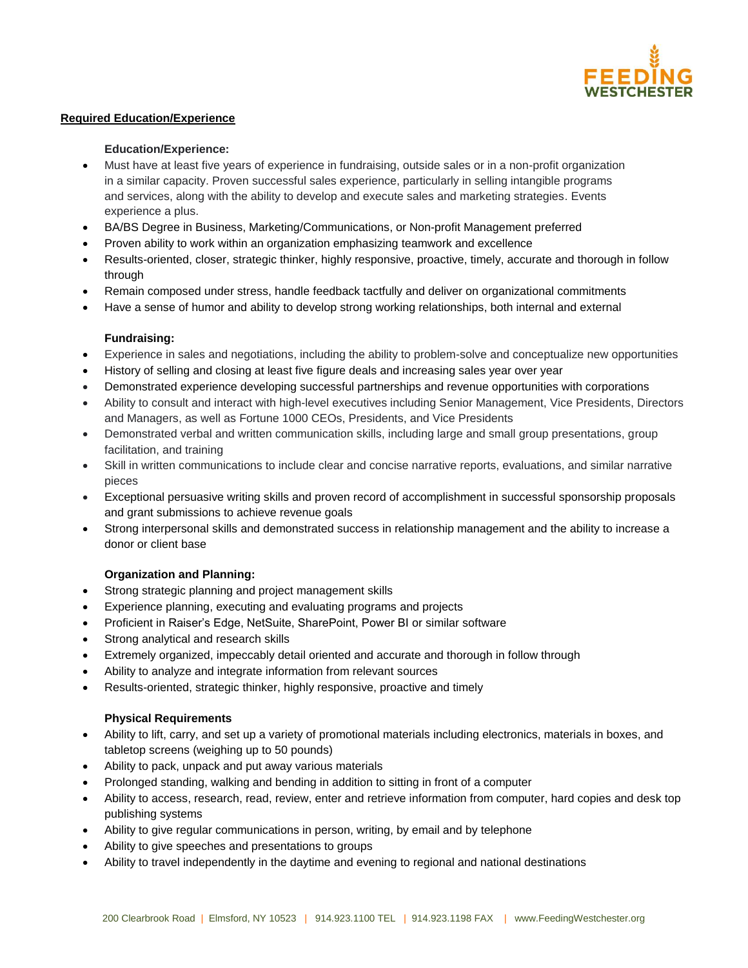

# **Required Education/Experience**

#### **Education/Experience:**

- Must have at least five years of experience in fundraising, outside sales or in a non-profit organization in a similar capacity. Proven successful sales experience, particularly in selling intangible programs and services, along with the ability to develop and execute sales and marketing strategies. Events experience a plus.
- BA/BS Degree in Business, Marketing/Communications, or Non-profit Management preferred
- Proven ability to work within an organization emphasizing teamwork and excellence
- Results-oriented, closer, strategic thinker, highly responsive, proactive, timely, accurate and thorough in follow through
- Remain composed under stress, handle feedback tactfully and deliver on organizational commitments
- Have a sense of humor and ability to develop strong working relationships, both internal and external

# **Fundraising:**

- Experience in sales and negotiations, including the ability to problem-solve and conceptualize new opportunities
- History of selling and closing at least five figure deals and increasing sales year over year
- Demonstrated experience developing successful partnerships and revenue opportunities with corporations
- Ability to consult and interact with high-level executives including Senior Management, Vice Presidents, Directors and Managers, as well as Fortune 1000 CEOs, Presidents, and Vice Presidents
- Demonstrated verbal and written communication skills, including large and small group presentations, group facilitation, and training
- Skill in written communications to include clear and concise narrative reports, evaluations, and similar narrative pieces
- Exceptional persuasive writing skills and proven record of accomplishment in successful sponsorship proposals and grant submissions to achieve revenue goals
- Strong interpersonal skills and demonstrated success in relationship management and the ability to increase a donor or client base

# **Organization and Planning:**

- Strong strategic planning and project management skills
- Experience planning, executing and evaluating programs and projects
- Proficient in Raiser's Edge, NetSuite, SharePoint, Power BI or similar software
- Strong analytical and research skills
- Extremely organized, impeccably detail oriented and accurate and thorough in follow through
- Ability to analyze and integrate information from relevant sources
- Results-oriented, strategic thinker, highly responsive, proactive and timely

# **Physical Requirements**

- Ability to lift, carry, and set up a variety of promotional materials including electronics, materials in boxes, and tabletop screens (weighing up to 50 pounds)
- Ability to pack, unpack and put away various materials
- Prolonged standing, walking and bending in addition to sitting in front of a computer
- Ability to access, research, read, review, enter and retrieve information from computer, hard copies and desk top publishing systems
- Ability to give regular communications in person, writing, by email and by telephone
- Ability to give speeches and presentations to groups
- Ability to travel independently in the daytime and evening to regional and national destinations